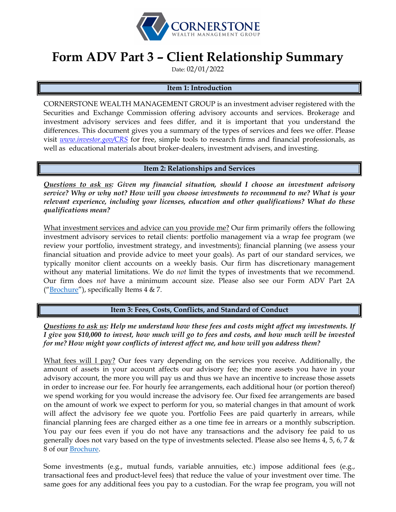

# **Form ADV Part 3 – Client Relationship Summary**

Date: 02/01/2022

### **Item 1: Introduction**

CORNERSTONE WEALTH MANAGEMENT GROUP is an investment adviser registered with the Securities and Exchange Commission offering advisory accounts and services. Brokerage and investment advisory services and fees differ, and it is important that you understand the differences. This document gives you a summary of the types of services and fees we offer. Please visit *[www.investor.gov/CRS](http://www.investor.gov/CRS)* for free, simple tools to research firms and financial professionals, as well as educational materials about broker-dealers, investment advisers, and investing.

### **Item 2: Relationships and Services**

*Questions to ask us: Given my financial situation, should I choose an investment advisory service? Why or why not? How will you choose investments to recommend to me? What is your relevant experience, including your licenses, education and other qualifications? What do these qualifications mean?*

What investment services and advice can you provide me? Our firm primarily offers the following investment advisory services to retail clients: portfolio management via a wrap fee program (we review your portfolio, investment strategy, and investments); financial planning (we assess your financial situation and provide advice to meet your goals). As part of our standard services, we typically monitor client accounts on a weekly basis. Our firm has discretionary management without any material limitations. We do *not* limit the types of investments that we recommend. Our firm does *not* have a minimum account size. Please also see our Form ADV Part 2A (["Brochure"](https://adviserinfo.sec.gov/firm/summary/313269)), specifically Items 4 & 7.

**Item 3: Fees, Costs, Conflicts, and Standard of Conduct** 

*Questions to ask us: Help me understand how these fees and costs might affect my investments. If I give you \$10,000 to invest, how much will go to fees and costs, and how much will be invested for me? How might your conflicts of interest affect me, and how will you address them?* 

What fees will I pay? Our fees vary depending on the services you receive. Additionally, the amount of assets in your account affects our advisory fee; the more assets you have in your advisory account, the more you will pay us and thus we have an incentive to increase those assets in order to increase our fee. For hourly fee arrangements, each additional hour (or portion thereof) we spend working for you would increase the advisory fee. Our fixed fee arrangements are based on the amount of work we expect to perform for you, so material changes in that amount of work will affect the advisory fee we quote you. Portfolio Fees are paid quarterly in arrears, while financial planning fees are charged either as a one time fee in arrears or a monthly subscription. You pay our fees even if you do not have any transactions and the advisory fee paid to us generally does not vary based on the type of investments selected. Please also see Items 4, 5, 6, 7  $\&$ 8 of our [Brochure.](https://adviserinfo.sec.gov/firm/summary/313269)

Some investments (e.g., mutual funds, variable annuities, etc.) impose additional fees (e.g., transactional fees and product-level fees) that reduce the value of your investment over time. The same goes for any additional fees you pay to a custodian. For the wrap fee program, you will not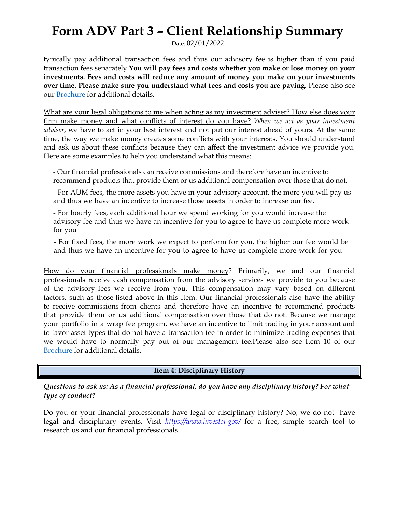# **Form ADV Part 3 – Client Relationship Summary**

Date: 02/01/2022

typically pay additional transaction fees and thus our advisory fee is higher than if you paid transaction fees separately.**You will pay fees and costs whether you make or lose money on your investments. Fees and costs will reduce any amount of money you make on your investments over time. Please make sure you understand what fees and costs you are paying.** Please also see our **[Brochure](https://adviserinfo.sec.gov/firm/summary/313269)** for additional details.

What are your legal obligations to me when acting as my investment adviser? How else does your firm make money and what conflicts of interest do you have? *When we act as your investment adviser*, we have to act in your best interest and not put our interest ahead of yours. At the same time, the way we make money creates some conflicts with your interests. You should understand and ask us about these conflicts because they can affect the investment advice we provide you. Here are some examples to help you understand what this means:

- Our financial professionals can receive commissions and therefore have an incentive to recommend products that provide them or us additional compensation over those that do not.

- For AUM fees, the more assets you have in your advisory account, the more you will pay us and thus we have an incentive to increase those assets in order to increase our fee.

- For hourly fees, each additional hour we spend working for you would increase the advisory fee and thus we have an incentive for you to agree to have us complete more work for you

- For fixed fees, the more work we expect to perform for you, the higher our fee would be and thus we have an incentive for you to agree to have us complete more work for you

How do your financial professionals make money? Primarily, we and our financial professionals receive cash compensation from the advisory services we provide to you because of the advisory fees we receive from you. This compensation may vary based on different factors, such as those listed above in this Item. Our financial professionals also have the ability to receive commissions from clients and therefore have an incentive to recommend products that provide them or us additional compensation over those that do not. Because we manage your portfolio in a wrap fee program, we have an incentive to limit trading in your account and to favor asset types that do not have a transaction fee in order to minimize trading expenses that we would have to normally pay out of our management fee.Please also see Item 10 of our [Brochure](https://adviserinfo.sec.gov/firm/summary/313269) for additional details.

### **Item 4: Disciplinary History**

*Questions to ask us: As a financial professional, do you have any disciplinary history? For what type of conduct?*

Do you or your financial professionals have legal or disciplinary history? No, we do not have legal and disciplinary events. Visit *<https://www.investor.gov/>* for a free, simple search tool to research us and our financial professionals.